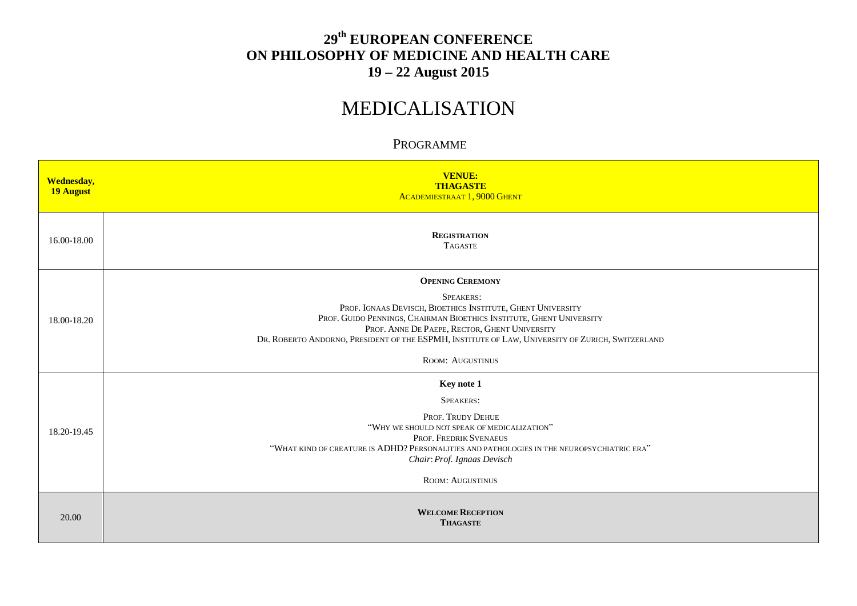## **29 th EUROPEAN CONFERENCE ON PHILOSOPHY OF MEDICINE AND HEALTH CARE 19 – 22 August 2015**

## MEDICALISATION

## PROGRAMME

| <b>Wednesday,</b><br>19 August | <b>VENUE:</b><br><b>THAGASTE</b><br><b>ACADEMIESTRAAT 1, 9000 GHENT</b>                                                                                                                                                                                                                                                                                            |
|--------------------------------|--------------------------------------------------------------------------------------------------------------------------------------------------------------------------------------------------------------------------------------------------------------------------------------------------------------------------------------------------------------------|
| 16.00-18.00                    | <b>REGISTRATION</b><br><b>TAGASTE</b>                                                                                                                                                                                                                                                                                                                              |
| 18.00-18.20                    | <b>OPENING CEREMONY</b><br><b>SPEAKERS:</b><br>PROF. IGNAAS DEVISCH, BIOETHICS INSTITUTE, GHENT UNIVERSITY<br>PROF. GUIDO PENNINGS, CHAIRMAN BIOETHICS INSTITUTE, GHENT UNIVERSITY<br>PROF. ANNE DE PAEPE, RECTOR, GHENT UNIVERSITY<br>DR. ROBERTO ANDORNO, PRESIDENT OF THE ESPMH, INSTITUTE OF LAW, UNIVERSITY OF ZURICH, SWITZERLAND<br><b>ROOM: AUGUSTINUS</b> |
| 18.20-19.45                    | Key note 1<br>SPEAKERS:<br>PROF. TRUDY DEHUE<br>"WHY WE SHOULD NOT SPEAK OF MEDICALIZATION"<br>PROF. FREDRIK SVENAEUS<br>"WHAT KIND OF CREATURE IS ADHD? PERSONALITIES AND PATHOLOGIES IN THE NEUROPSYCHIATRIC ERA"<br>Chair: Prof. Ignaas Devisch<br><b>ROOM: AUGUSTINUS</b>                                                                                      |
| 20.00                          | <b>WELCOME RECEPTION</b><br><b>THAGASTE</b>                                                                                                                                                                                                                                                                                                                        |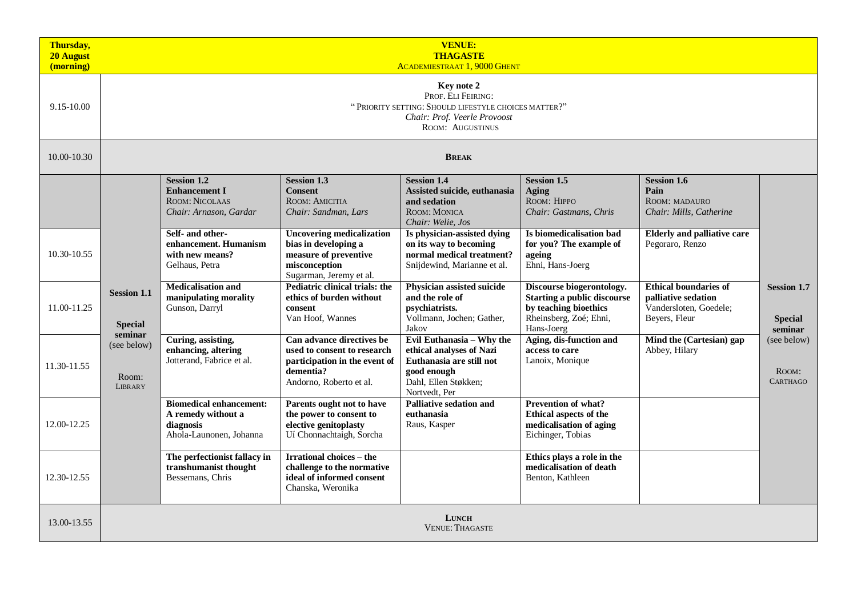| Thursday,<br>20 August<br>(morning) | <b>VENUE:</b><br><b>THAGASTE</b><br><b>ACADEMIESTRAAT 1, 9000 GHENT</b>                                                                             |                                                                                               |                                                                                                                                   |                                                                                                                                           |                                                                                                                                  |                                                                                                |                                                 |  |  |
|-------------------------------------|-----------------------------------------------------------------------------------------------------------------------------------------------------|-----------------------------------------------------------------------------------------------|-----------------------------------------------------------------------------------------------------------------------------------|-------------------------------------------------------------------------------------------------------------------------------------------|----------------------------------------------------------------------------------------------------------------------------------|------------------------------------------------------------------------------------------------|-------------------------------------------------|--|--|
| 9.15-10.00                          | Key note 2<br>PROF. ELI FEIRING:<br>"PRIORITY SETTING: SHOULD LIFESTYLE CHOICES MATTER?"<br>Chair: Prof. Veerle Provoost<br><b>ROOM: AUGUSTINUS</b> |                                                                                               |                                                                                                                                   |                                                                                                                                           |                                                                                                                                  |                                                                                                |                                                 |  |  |
| 10.00-10.30                         |                                                                                                                                                     |                                                                                               |                                                                                                                                   | <b>BREAK</b>                                                                                                                              |                                                                                                                                  |                                                                                                |                                                 |  |  |
|                                     |                                                                                                                                                     | <b>Session 1.2</b><br><b>Enhancement I</b><br><b>ROOM: NICOLAAS</b><br>Chair: Arnason, Gardar | <b>Session 1.3</b><br><b>Consent</b><br>ROOM: AMICITIA<br>Chair: Sandman, Lars                                                    | <b>Session 1.4</b><br>Assisted suicide, euthanasia<br>and sedation<br>ROOM: MONICA<br>Chair: Welie, Jos                                   | <b>Session 1.5</b><br>Aging<br>ROOM: HIPPO<br>Chair: Gastmans, Chris                                                             | <b>Session 1.6</b><br>Pain<br>ROOM: MADAURO<br>Chair: Mills, Catherine                         |                                                 |  |  |
| 10.30-10.55                         |                                                                                                                                                     | Self- and other-<br>enhancement. Humanism<br>with new means?<br>Gelhaus, Petra                | <b>Uncovering medicalization</b><br>bias in developing a<br>measure of preventive<br>misconception<br>Sugarman, Jeremy et al.     | Is physician-assisted dying<br>on its way to becoming<br>normal medical treatment?<br>Snijdewind, Marianne et al.                         | Is biomedicalisation bad<br>for you? The example of<br>ageing<br>Ehni, Hans-Joerg                                                | <b>Elderly and palliative care</b><br>Pegoraro, Renzo                                          |                                                 |  |  |
| 11.00-11.25                         | <b>Session 1.1</b><br><b>Special</b>                                                                                                                | <b>Medicalisation and</b><br>manipulating morality<br>Gunson, Darryl                          | <b>Pediatric clinical trials: the</b><br>ethics of burden without<br>consent<br>Van Hoof, Wannes                                  | Physician assisted suicide<br>and the role of<br>psychiatrists.<br>Vollmann, Jochen; Gather,<br>Jakov                                     | Discourse biogerontology.<br><b>Starting a public discourse</b><br>by teaching bioethics<br>Rheinsberg, Zoé; Ehni,<br>Hans-Joerg | <b>Ethical boundaries of</b><br>palliative sedation<br>Vandersloten, Goedele;<br>Beyers, Fleur | <b>Session 1.7</b><br><b>Special</b><br>seminar |  |  |
| 11.30-11.55                         | seminar<br>(see below)<br>Room:<br><b>LIBRARY</b>                                                                                                   | Curing, assisting,<br>enhancing, altering<br>Jotterand, Fabrice et al.                        | Can advance directives be<br>used to consent to research<br>participation in the event of<br>dementia?<br>Andorno, Roberto et al. | Evil Euthanasia - Why the<br>ethical analyses of Nazi<br>Euthanasia are still not<br>good enough<br>Dahl, Ellen Støkken;<br>Nortvedt, Per | Aging, dis-function and<br>access to care<br>Lanoix, Monique                                                                     | Mind the (Cartesian) gap<br>Abbey, Hilary                                                      | (see below)<br>Room:<br><b>CARTHAGO</b>         |  |  |
| 12.00-12.25                         |                                                                                                                                                     | <b>Biomedical enhancement:</b><br>A remedy without a<br>diagnosis<br>Ahola-Launonen, Johanna  | Parents ought not to have<br>the power to consent to<br>elective genitoplasty<br>Uí Chonnachtaigh, Sorcha                         | <b>Palliative sedation and</b><br>euthanasia<br>Raus, Kasper                                                                              | <b>Prevention of what?</b><br>Ethical aspects of the<br>medicalisation of aging<br>Eichinger, Tobias                             |                                                                                                |                                                 |  |  |
| 12.30-12.55                         |                                                                                                                                                     | The perfectionist fallacy in<br>transhumanist thought<br>Bessemans, Chris                     | <b>Irrational choices – the</b><br>challenge to the normative<br>ideal of informed consent<br>Chanska, Weronika                   |                                                                                                                                           | Ethics plays a role in the<br>medicalisation of death<br>Benton, Kathleen                                                        |                                                                                                |                                                 |  |  |
| 13.00-13.55                         | <b>LUNCH</b><br><b>VENUE: THAGASTE</b>                                                                                                              |                                                                                               |                                                                                                                                   |                                                                                                                                           |                                                                                                                                  |                                                                                                |                                                 |  |  |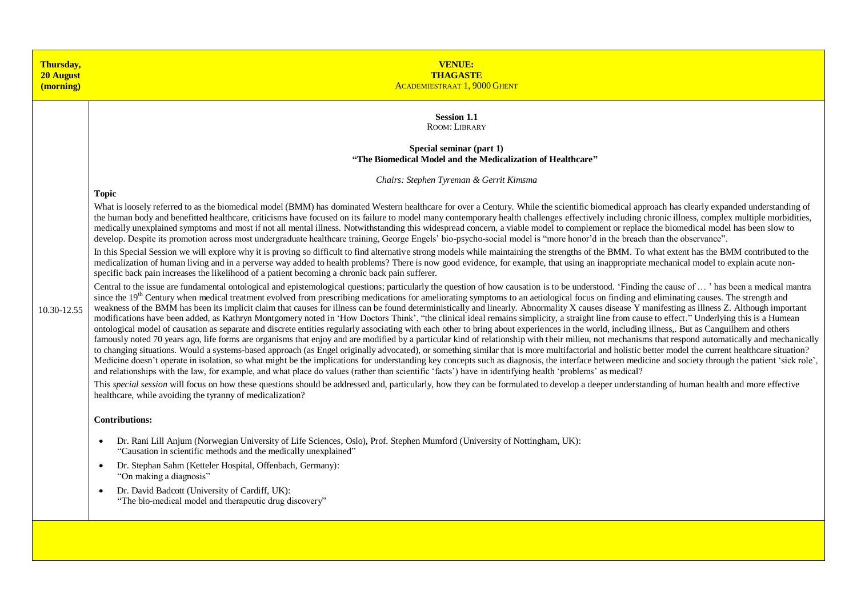| Thursday,<br><b>20 August</b><br>(morning) | <b>VENUE:</b><br><b>THAGASTE</b><br><b>ACADEMIESTRAAT 1, 9000 GHENT</b>                                                                                                                                                                                                                                                                                                                                                                                                                                                                                                                                                                                                                                                                                                                                                                                                                                                                                                                                                                                                                                                                                                                                                                                                                                                                                                                                                                                                                                                                                                                                                                                                                                                                                                                                                                                                                                                                                                                                                                                                                                                                                                                                                                                                                                                                                                                                                                                                                                                                                                                                                                                                                                                                                                                                                                                                                                                                                                                                                                                                                                                                                                                                                                                                                                                                                                                                                                                                                                                                                                                                                                                                                                                                                                                                                                                                                                                                                                                                                         |
|--------------------------------------------|---------------------------------------------------------------------------------------------------------------------------------------------------------------------------------------------------------------------------------------------------------------------------------------------------------------------------------------------------------------------------------------------------------------------------------------------------------------------------------------------------------------------------------------------------------------------------------------------------------------------------------------------------------------------------------------------------------------------------------------------------------------------------------------------------------------------------------------------------------------------------------------------------------------------------------------------------------------------------------------------------------------------------------------------------------------------------------------------------------------------------------------------------------------------------------------------------------------------------------------------------------------------------------------------------------------------------------------------------------------------------------------------------------------------------------------------------------------------------------------------------------------------------------------------------------------------------------------------------------------------------------------------------------------------------------------------------------------------------------------------------------------------------------------------------------------------------------------------------------------------------------------------------------------------------------------------------------------------------------------------------------------------------------------------------------------------------------------------------------------------------------------------------------------------------------------------------------------------------------------------------------------------------------------------------------------------------------------------------------------------------------------------------------------------------------------------------------------------------------------------------------------------------------------------------------------------------------------------------------------------------------------------------------------------------------------------------------------------------------------------------------------------------------------------------------------------------------------------------------------------------------------------------------------------------------------------------------------------------------------------------------------------------------------------------------------------------------------------------------------------------------------------------------------------------------------------------------------------------------------------------------------------------------------------------------------------------------------------------------------------------------------------------------------------------------------------------------------------------------------------------------------------------------------------------------------------------------------------------------------------------------------------------------------------------------------------------------------------------------------------------------------------------------------------------------------------------------------------------------------------------------------------------------------------------------------------------------------------------------------------------------------------------------|
| 10.30-12.55                                | <b>Session 1.1</b><br>ROOM: LIBRARY<br>Special seminar (part 1)<br>"The Biomedical Model and the Medicalization of Healthcare"<br>Chairs: Stephen Tyreman & Gerrit Kimsma<br><b>Topic</b><br>What is loosely referred to as the biomedical model (BMM) has dominated Western healthcare for over a Century. While the scientific biomedical approach has clearly expanded understanding of<br>the human body and benefitted healthcare, criticisms have focused on its failure to model many contemporary health challenges effectively including chronic illness, complex multiple morbidities,<br>medically unexplained symptoms and most if not all mental illness. Notwithstanding this widespread concern, a viable model to complement or replace the biomedical model has been slow to<br>develop. Despite its promotion across most undergraduate healthcare training, George Engels' bio-psycho-social model is "more honor'd in the breach than the observance".<br>In this Special Session we will explore why it is proving so difficult to find alternative strong models while maintaining the strengths of the BMM. To what extent has the BMM contributed to the<br>medicalization of human living and in a perverse way added to health problems? There is now good evidence, for example, that using an inappropriate mechanical model to explain acute non-<br>specific back pain increases the likelihood of a patient becoming a chronic back pain sufferer.<br>Central to the issue are fundamental ontological and epistemological questions; particularly the question of how causation is to be understood. 'Finding the cause of ' has been a medical mantra<br>since the 19 <sup>th</sup> Century when medical treatment evolved from prescribing medications for ameliorating symptoms to an aetiological focus on finding and eliminating causes. The strength and<br>weakness of the BMM has been its implicit claim that causes for illness can be found deterministically and linearly. Abnormality X causes disease Y manifesting as illness Z. Although important<br>modifications have been added, as Kathryn Montgomery noted in 'How Doctors Think', "the clinical ideal remains simplicity, a straight line from cause to effect." Underlying this is a Humean<br>ontological model of causation as separate and discrete entities regularly associating with each other to bring about experiences in the world, including illness,. But as Canguilhem and others<br>famously noted 70 years ago, life forms are organisms that enjoy and are modified by a particular kind of relationship with their milieu, not mechanisms that respond automatically and mechanically<br>to changing situations. Would a systems-based approach (as Engel originally advocated), or something similar that is more multifactorial and holistic better model the current healthcare situation?<br>Medicine doesn't operate in isolation, so what might be the implications for understanding key concepts such as diagnosis, the interface between medicine and society through the patient 'sick role',<br>and relationships with the law, for example, and what place do values (rather than scientific 'facts') have in identifying health 'problems' as medical?<br>This special session will focus on how these questions should be addressed and, particularly, how they can be formulated to develop a deeper understanding of human health and more effective<br>healthcare, while avoiding the tyranny of medicalization?<br><b>Contributions:</b><br>Dr. Rani Lill Anjum (Norwegian University of Life Sciences, Oslo), Prof. Stephen Mumford (University of Nottingham, UK):<br>$\bullet$<br>"Causation in scientific methods and the medically unexplained"<br>Dr. Stephan Sahm (Ketteler Hospital, Offenbach, Germany):<br>$\bullet$<br>"On making a diagnosis"<br>Dr. David Badcott (University of Cardiff, UK):<br>$\bullet$<br>"The bio-medical model and therapeutic drug discovery" |
|                                            |                                                                                                                                                                                                                                                                                                                                                                                                                                                                                                                                                                                                                                                                                                                                                                                                                                                                                                                                                                                                                                                                                                                                                                                                                                                                                                                                                                                                                                                                                                                                                                                                                                                                                                                                                                                                                                                                                                                                                                                                                                                                                                                                                                                                                                                                                                                                                                                                                                                                                                                                                                                                                                                                                                                                                                                                                                                                                                                                                                                                                                                                                                                                                                                                                                                                                                                                                                                                                                                                                                                                                                                                                                                                                                                                                                                                                                                                                                                                                                                                                                 |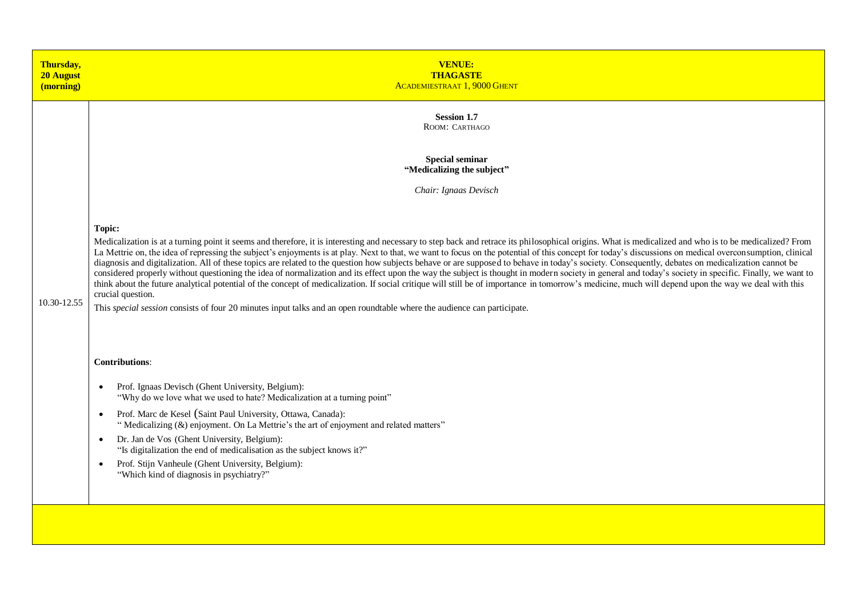| Thursday,<br>20 August<br>(morning) | <b>VENUE:</b><br><b>THAGASTE</b><br><b>ACADEMIESTRAAT 1.9000 GHENT</b>                                                                                                                                                                                                                                                                                                                                                                                                                                                                                                                                                                                                                                                                                                                                                                                                                                                                                                                                                                                                                                                                                                                              |
|-------------------------------------|-----------------------------------------------------------------------------------------------------------------------------------------------------------------------------------------------------------------------------------------------------------------------------------------------------------------------------------------------------------------------------------------------------------------------------------------------------------------------------------------------------------------------------------------------------------------------------------------------------------------------------------------------------------------------------------------------------------------------------------------------------------------------------------------------------------------------------------------------------------------------------------------------------------------------------------------------------------------------------------------------------------------------------------------------------------------------------------------------------------------------------------------------------------------------------------------------------|
|                                     | <b>Session 1.7</b><br>ROOM: CARTHAGO                                                                                                                                                                                                                                                                                                                                                                                                                                                                                                                                                                                                                                                                                                                                                                                                                                                                                                                                                                                                                                                                                                                                                                |
|                                     | <b>Special seminar</b><br>"Medicalizing the subject"                                                                                                                                                                                                                                                                                                                                                                                                                                                                                                                                                                                                                                                                                                                                                                                                                                                                                                                                                                                                                                                                                                                                                |
|                                     | Chair: Ignaas Devisch                                                                                                                                                                                                                                                                                                                                                                                                                                                                                                                                                                                                                                                                                                                                                                                                                                                                                                                                                                                                                                                                                                                                                                               |
| 10.30-12.55                         | Topic:<br>Medicalization is at a turning point it seems and therefore, it is interesting and necessary to step back and retrace its philosophical origins. What is medicalized and who is to be medicalized? From<br>La Mettrie on, the idea of repressing the subject's enjoyments is at play. Next to that, we want to focus on the potential of this concept for today's discussions on medical overconsumption, clinical<br>diagnosis and digitalization. All of these topics are related to the question how subjects behave or are supposed to behave in today's society. Consequently, debates on medicalization cannot be<br>considered properly without questioning the idea of normalization and its effect upon the way the subject is thought in modern society in general and today's society in specific. Finally, we want to<br>think about the future analytical potential of the concept of medicalization. If social critique will still be of importance in tomorrow's medicine, much will depend upon the way we deal with this<br>crucial question.<br>This special session consists of four 20 minutes input talks and an open roundtable where the audience can participate. |
|                                     | <b>Contributions:</b>                                                                                                                                                                                                                                                                                                                                                                                                                                                                                                                                                                                                                                                                                                                                                                                                                                                                                                                                                                                                                                                                                                                                                                               |
|                                     | Prof. Ignaas Devisch (Ghent University, Belgium):<br>$\bullet$<br>"Why do we love what we used to hate? Medicalization at a turning point"                                                                                                                                                                                                                                                                                                                                                                                                                                                                                                                                                                                                                                                                                                                                                                                                                                                                                                                                                                                                                                                          |
|                                     | Prof. Marc de Kesel (Saint Paul University, Ottawa, Canada):<br>$\bullet$<br>"Medicalizing (&) enjoyment. On La Mettrie's the art of enjoyment and related matters"                                                                                                                                                                                                                                                                                                                                                                                                                                                                                                                                                                                                                                                                                                                                                                                                                                                                                                                                                                                                                                 |
|                                     | Dr. Jan de Vos (Ghent University, Belgium):<br>$\bullet$<br>"Is digitalization the end of medicalisation as the subject knows it?"                                                                                                                                                                                                                                                                                                                                                                                                                                                                                                                                                                                                                                                                                                                                                                                                                                                                                                                                                                                                                                                                  |
|                                     | Prof. Stijn Vanheule (Ghent University, Belgium):<br>$\bullet$<br>"Which kind of diagnosis in psychiatry?"                                                                                                                                                                                                                                                                                                                                                                                                                                                                                                                                                                                                                                                                                                                                                                                                                                                                                                                                                                                                                                                                                          |
|                                     |                                                                                                                                                                                                                                                                                                                                                                                                                                                                                                                                                                                                                                                                                                                                                                                                                                                                                                                                                                                                                                                                                                                                                                                                     |
|                                     |                                                                                                                                                                                                                                                                                                                                                                                                                                                                                                                                                                                                                                                                                                                                                                                                                                                                                                                                                                                                                                                                                                                                                                                                     |
|                                     |                                                                                                                                                                                                                                                                                                                                                                                                                                                                                                                                                                                                                                                                                                                                                                                                                                                                                                                                                                                                                                                                                                                                                                                                     |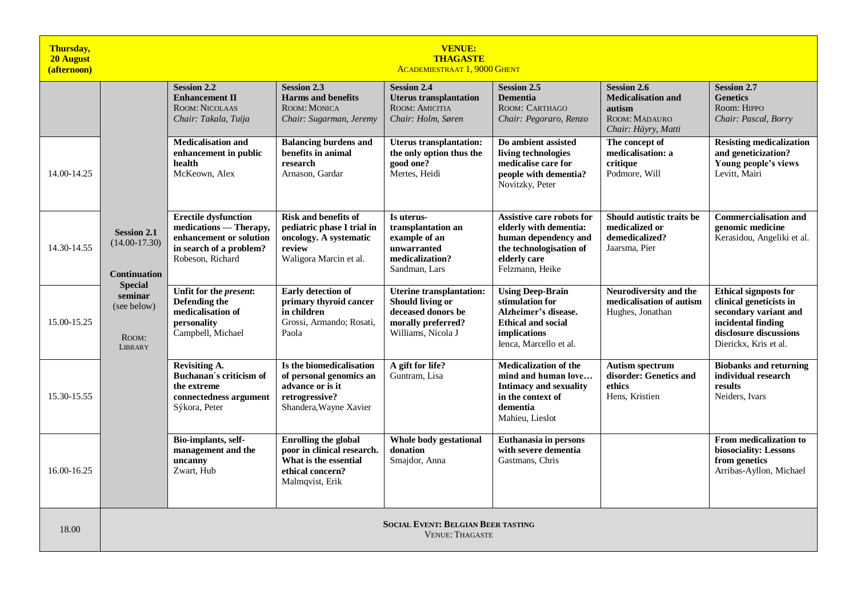| Thursday,<br><b>20 August</b><br>(afternoon) | <b>VENUE:</b><br><b>THAGASTE</b><br><b>ACADEMIESTRAAT 1, 9000 GHENT</b> |                                                                                                                                 |                                                                                                                           |                                                                                                                              |                                                                                                                                                  |                                                                                                   |                                                                                                                                                           |  |  |  |
|----------------------------------------------|-------------------------------------------------------------------------|---------------------------------------------------------------------------------------------------------------------------------|---------------------------------------------------------------------------------------------------------------------------|------------------------------------------------------------------------------------------------------------------------------|--------------------------------------------------------------------------------------------------------------------------------------------------|---------------------------------------------------------------------------------------------------|-----------------------------------------------------------------------------------------------------------------------------------------------------------|--|--|--|
|                                              |                                                                         | <b>Session 2.2</b><br><b>Enhancement II</b><br><b>ROOM: NICOLAAS</b><br>Chair: Takala, Tuija                                    | <b>Session 2.3</b><br><b>Harms and benefits</b><br>ROOM: MONICA<br>Chair: Sugarman, Jeremy                                | <b>Session 2.4</b><br><b>Uterus transplantation</b><br>ROOM: AMICITIA<br>Chair: Holm, Søren                                  | <b>Session 2.5</b><br><b>Dementia</b><br>ROOM: CARTHAGO<br>Chair: Pegoraro, Renzo                                                                | <b>Session 2.6</b><br><b>Medicalisation and</b><br>autism<br>ROOM: MADAURO<br>Chair: Häyry, Matti | <b>Session 2.7</b><br><b>Genetics</b><br>Room: HIPPO<br>Chair: Pascal, Borry                                                                              |  |  |  |
| 14.00-14.25                                  |                                                                         | <b>Medicalisation and</b><br>enhancement in public<br>health<br>McKeown, Alex                                                   | <b>Balancing burdens and</b><br>benefits in animal<br>research<br>Arnason, Gardar                                         | <b>Uterus transplantation:</b><br>the only option thus the<br>good one?<br>Mertes, Heidi                                     | Do ambient assisted<br>living technologies<br>medicalise care for<br>people with dementia?<br>Novitzky, Peter                                    | The concept of<br>medicalisation: a<br>critique<br>Podmore, Will                                  | <b>Resisting medicalization</b><br>and geneticization?<br>Young people's views<br>Levitt, Mairi                                                           |  |  |  |
| 14.30-14.55                                  | <b>Session 2.1</b><br>$(14.00 - 17.30)$<br><b>Continuation</b>          | <b>Erectile dysfunction</b><br>medications - Therapy,<br>enhancement or solution<br>in search of a problem?<br>Robeson, Richard | <b>Risk and benefits of</b><br>pediatric phase I trial in<br>oncology. A systematic<br>review<br>Waligora Marcin et al.   | Is uterus-<br>transplantation an<br>example of an<br>unwarranted<br>medicalization?<br>Sandman, Lars                         | Assistive care robots for<br>elderly with dementia:<br>human dependency and<br>the technologisation of<br>elderly care<br>Felzmann, Heike        | Should autistic traits be<br>medicalized or<br>demedicalized?<br>Jaarsma, Pier                    | <b>Commercialisation and</b><br>genomic medicine<br>Kerasidou, Angeliki et al.                                                                            |  |  |  |
| 15.00-15.25                                  | <b>Special</b><br>seminar<br>(see below)<br>ROOM:<br><b>LIBRARY</b>     | Unfit for the present:<br>Defending the<br>medicalisation of<br>personality<br>Campbell, Michael                                | Early detection of<br>primary thyroid cancer<br>in children<br>Grossi, Armando; Rosati,<br>Paola                          | <b>Uterine transplantation:</b><br><b>Should living or</b><br>deceased donors be<br>morally preferred?<br>Williams, Nicola J | <b>Using Deep-Brain</b><br>stimulation for<br>Alzheimer's disease.<br><b>Ethical and social</b><br><i>implications</i><br>Ienca, Marcello et al. | Neurodiversity and the<br>medicalisation of autism<br>Hughes, Jonathan                            | <b>Ethical signposts for</b><br>clinical geneticists in<br>secondary variant and<br>incidental finding<br>disclosure discussions<br>Dierickx, Kris et al. |  |  |  |
| 15.30-15.55                                  |                                                                         | Revisiting A.<br>Buchanan's criticism of<br>the extreme<br>connectedness argument<br>Sýkora, Peter                              | Is the biomedicalisation<br>of personal genomics an<br>advance or is it<br>retrogressive?<br>Shandera, Wayne Xavier       | A gift for life?<br>Guntram. Lisa                                                                                            | <b>Medicalization of the</b><br>mind and human love<br><b>Intimacy and sexuality</b><br>in the context of<br>dementia<br>Mahieu, Lieslot         | <b>Autism spectrum</b><br>disorder: Genetics and<br>ethics<br>Hens, Kristien                      | <b>Biobanks and returning</b><br>individual research<br>results<br>Neiders, Ivars                                                                         |  |  |  |
| 16.00-16.25                                  |                                                                         | Bio-implants, self-<br>management and the<br>uncanny<br>Zwart, Hub                                                              | <b>Enrolling the global</b><br>poor in clinical research.<br>What is the essential<br>ethical concern?<br>Malmqvist, Erik | Whole body gestational<br>donation<br>Smajdor, Anna                                                                          | Euthanasia in persons<br>with severe dementia<br>Gastmans, Chris                                                                                 |                                                                                                   | From medicalization to<br>biosociality: Lessons<br>from genetics<br>Arribas-Ayllon, Michael                                                               |  |  |  |
| 18.00                                        | <b>SOCIAL EVENT: BELGIAN BEER TASTING</b><br><b>VENUE: THAGASTE</b>     |                                                                                                                                 |                                                                                                                           |                                                                                                                              |                                                                                                                                                  |                                                                                                   |                                                                                                                                                           |  |  |  |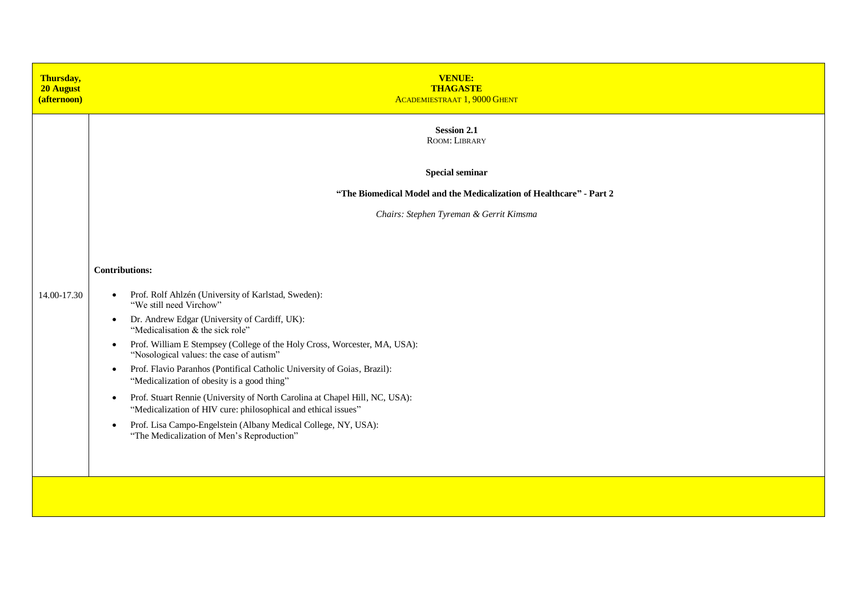| <b>VENUE:</b><br><b>THAGASTE</b><br><b>ACADEMIESTRAAT 1, 9000 GHENT</b>                                                                                    |
|------------------------------------------------------------------------------------------------------------------------------------------------------------|
| <b>Session 2.1</b><br>ROOM: LIBRARY                                                                                                                        |
| <b>Special seminar</b>                                                                                                                                     |
| "The Biomedical Model and the Medicalization of Healthcare" - Part 2                                                                                       |
| Chairs: Stephen Tyreman & Gerrit Kimsma                                                                                                                    |
|                                                                                                                                                            |
| <b>Contributions:</b>                                                                                                                                      |
| Prof. Rolf Ahlzén (University of Karlstad, Sweden):<br>$\bullet$<br>"We still need Virchow"                                                                |
| Dr. Andrew Edgar (University of Cardiff, UK):<br>$\bullet$<br>"Medicalisation & the sick role"                                                             |
| Prof. William E Stempsey (College of the Holy Cross, Worcester, MA, USA):<br>$\bullet$<br>"Nosological values: the case of autism"                         |
| Prof. Flavio Paranhos (Pontifical Catholic University of Goias, Brazil):<br>$\bullet$<br>"Medicalization of obesity is a good thing"                       |
| Prof. Stuart Rennie (University of North Carolina at Chapel Hill, NC, USA):<br>$\bullet$<br>"Medicalization of HIV cure: philosophical and ethical issues" |
| Prof. Lisa Campo-Engelstein (Albany Medical College, NY, USA):<br>$\bullet$<br>"The Medicalization of Men's Reproduction"                                  |
|                                                                                                                                                            |
|                                                                                                                                                            |
|                                                                                                                                                            |
|                                                                                                                                                            |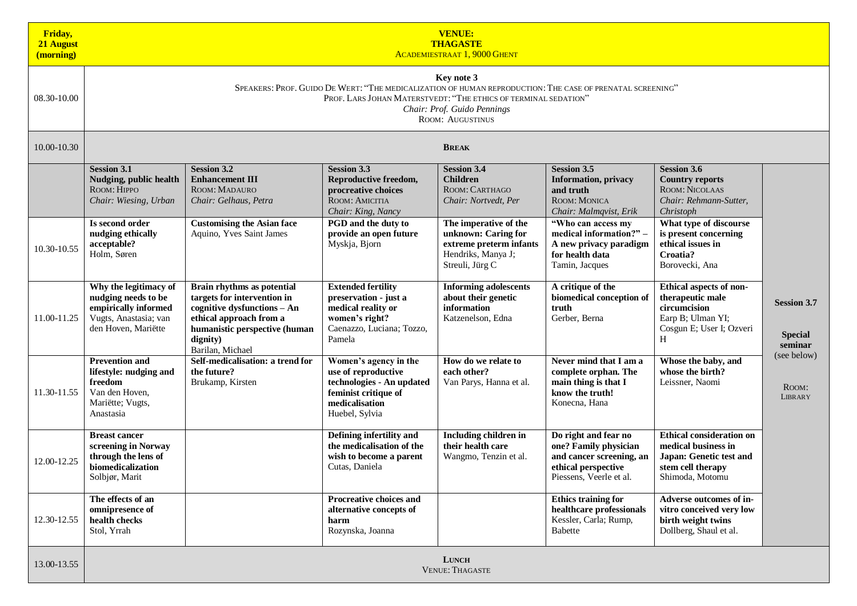| Friday,<br>21 August<br>(morning) | <b>VENUE:</b><br><b>THAGASTE</b><br><b>ACADEMIESTRAAT 1, 9000 GHENT</b>                                                                                                                                                                              |                                                                                                                                                                                      |                                                                                                                                                             |                                                                                                                                 |                                                                                                                                                            |                                                                                                                                                          |                                                 |  |  |
|-----------------------------------|------------------------------------------------------------------------------------------------------------------------------------------------------------------------------------------------------------------------------------------------------|--------------------------------------------------------------------------------------------------------------------------------------------------------------------------------------|-------------------------------------------------------------------------------------------------------------------------------------------------------------|---------------------------------------------------------------------------------------------------------------------------------|------------------------------------------------------------------------------------------------------------------------------------------------------------|----------------------------------------------------------------------------------------------------------------------------------------------------------|-------------------------------------------------|--|--|
| 08.30-10.00                       | Key note 3<br>SPEAKERS: PROF. GUIDO DE WERT: "THE MEDICALIZATION OF HUMAN REPRODUCTION: THE CASE OF PRENATAL SCREENING"<br>PROF. LARS JOHAN MATERSTVEDT: "THE ETHICS OF TERMINAL SEDATION"<br>Chair: Prof. Guido Pennings<br><b>ROOM: AUGUSTINUS</b> |                                                                                                                                                                                      |                                                                                                                                                             |                                                                                                                                 |                                                                                                                                                            |                                                                                                                                                          |                                                 |  |  |
| 10.00-10.30                       |                                                                                                                                                                                                                                                      |                                                                                                                                                                                      |                                                                                                                                                             | <b>BREAK</b>                                                                                                                    |                                                                                                                                                            |                                                                                                                                                          |                                                 |  |  |
|                                   | <b>Session 3.1</b><br>Nudging, public health<br>ROOM: HIPPO<br>Chair: Wiesing, Urban<br>Is second order<br>nudging ethically                                                                                                                         | <b>Session 3.2</b><br><b>Enhancement III</b><br>ROOM: MADAURO<br>Chair: Gelhaus, Petra<br><b>Customising the Asian face</b><br>Aquino, Yves Saint James                              | <b>Session 3.3</b><br>Reproductive freedom,<br>procreative choices<br>ROOM: AMICITIA<br>Chair: King, Nancy<br>PGD and the duty to<br>provide an open future | <b>Session 3.4</b><br><b>Children</b><br>ROOM: CARTHAGO<br>Chair: Nortvedt, Per<br>The imperative of the<br>unknown: Caring for | <b>Session 3.5</b><br><b>Information</b> , privacy<br>and truth<br>ROOM: MONICA<br>Chair: Malmqvist, Erik<br>"Who can access my<br>medical information?" - | <b>Session 3.6</b><br><b>Country reports</b><br>ROOM: NICOLAAS<br>Chair: Rehmann-Sutter,<br>Christoph<br>What type of discourse<br>is present concerning |                                                 |  |  |
| 10.30-10.55                       | acceptable?<br>Holm, Søren                                                                                                                                                                                                                           |                                                                                                                                                                                      | Myskja, Bjorn                                                                                                                                               | extreme preterm infants<br>Hendriks, Manya J;<br>Streuli, Jürg C                                                                | A new privacy paradigm<br>for health data<br>Tamin, Jacques                                                                                                | ethical issues in<br>Croatia?<br>Borovecki, Ana                                                                                                          |                                                 |  |  |
| 11.00-11.25                       | Why the legitimacy of<br>nudging needs to be<br>empirically informed<br>Vugts, Anastasia; van<br>den Hoven, Mariëtte                                                                                                                                 | Brain rhythms as potential<br>targets for intervention in<br>cognitive dysfunctions - An<br>ethical approach from a<br>humanistic perspective (human<br>dignity)<br>Barilan, Michael | <b>Extended fertility</b><br>preservation - just a<br>medical reality or<br>women's right?<br>Caenazzo, Luciana; Tozzo,<br>Pamela                           | <b>Informing adolescents</b><br>about their genetic<br>information<br>Katzenelson, Edna                                         | A critique of the<br>biomedical conception of<br>truth<br>Gerber, Berna                                                                                    | Ethical aspects of non-<br>therapeutic male<br>circumcision<br>Earp B; Ulman YI;<br>Cosgun E; User I; Ozveri<br>H                                        | <b>Session 3.7</b><br><b>Special</b><br>seminar |  |  |
| 11.30-11.55                       | <b>Prevention and</b><br>lifestyle: nudging and<br>freedom<br>Van den Hoven,<br>Mariëtte; Vugts,<br>Anastasia                                                                                                                                        | Self-medicalisation: a trend for<br>the future?<br>Brukamp, Kirsten                                                                                                                  | Women's agency in the<br>use of reproductive<br>technologies - An updated<br>feminist critique of<br>medicalisation<br>Huebel, Sylvia                       | How do we relate to<br>each other?<br>Van Parys, Hanna et al.                                                                   | Never mind that I am a<br>complete orphan. The<br>main thing is that I<br>know the truth!<br>Konecna, Hana                                                 | Whose the baby, and<br>whose the birth?<br>Leissner, Naomi                                                                                               | (see below)<br>ROOM:<br><b>LIBRARY</b>          |  |  |
| 12.00-12.25                       | <b>Breast cancer</b><br>screening in Norway<br>through the lens of<br>biomedicalization<br>Solbjør, Marit                                                                                                                                            |                                                                                                                                                                                      | Defining infertility and<br>the medicalisation of the<br>wish to become a parent<br>Cutas, Daniela                                                          | Including children in<br>their health care<br>Wangmo, Tenzin et al.                                                             | Do right and fear no<br>one? Family physician<br>and cancer screening, an<br>ethical perspective<br>Piessens, Veerle et al.                                | <b>Ethical consideration on</b><br>medical business in<br>Japan: Genetic test and<br>stem cell therapy<br>Shimoda, Motomu                                |                                                 |  |  |
| 12.30-12.55                       | The effects of an<br>omnipresence of<br>health checks<br>Stol, Yrrah                                                                                                                                                                                 |                                                                                                                                                                                      | Procreative choices and<br>alternative concepts of<br>harm<br>Rozynska, Joanna                                                                              |                                                                                                                                 | <b>Ethics training for</b><br>healthcare professionals<br>Kessler, Carla; Rump,<br>Babette                                                                 | Adverse outcomes of in-<br>vitro conceived very low<br>birth weight twins<br>Dollberg, Shaul et al.                                                      |                                                 |  |  |
| 13.00-13.55                       | <b>LUNCH</b><br><b>VENUE: THAGASTE</b>                                                                                                                                                                                                               |                                                                                                                                                                                      |                                                                                                                                                             |                                                                                                                                 |                                                                                                                                                            |                                                                                                                                                          |                                                 |  |  |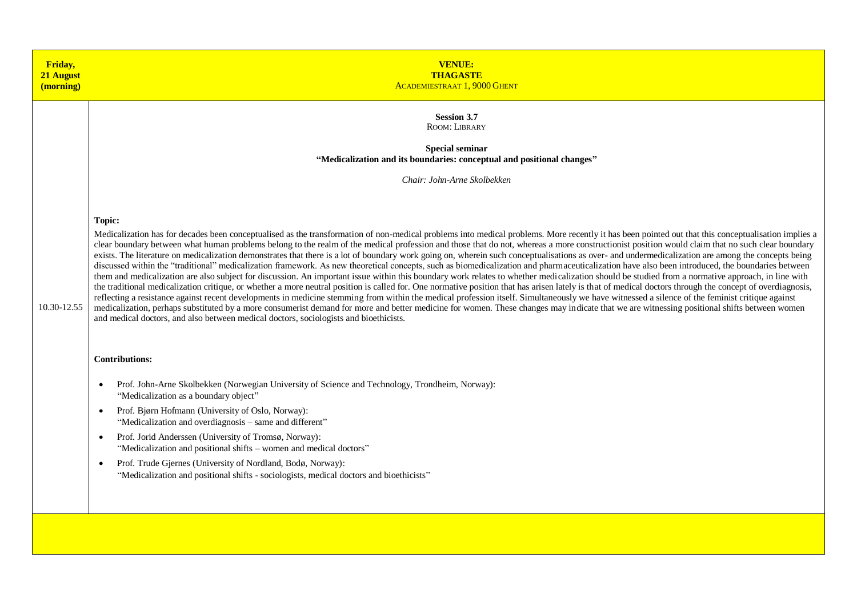| Friday,<br>21 August<br>(morning) | <b>VENUE:</b><br><b>THAGASTE</b><br><b>ACADEMIESTRAAT 1, 9000 GHENT</b>                                                                                                                                                                                                                                                                                                                                                                                                                                                                                                                                                                                                                                                                                                                                                                                                                                                                                                                                                                                                                                                                                                                                                                                                                                                                                                                                                                                                                                                                                                                                                                                                                                                                                                                                                                                                                                         |
|-----------------------------------|-----------------------------------------------------------------------------------------------------------------------------------------------------------------------------------------------------------------------------------------------------------------------------------------------------------------------------------------------------------------------------------------------------------------------------------------------------------------------------------------------------------------------------------------------------------------------------------------------------------------------------------------------------------------------------------------------------------------------------------------------------------------------------------------------------------------------------------------------------------------------------------------------------------------------------------------------------------------------------------------------------------------------------------------------------------------------------------------------------------------------------------------------------------------------------------------------------------------------------------------------------------------------------------------------------------------------------------------------------------------------------------------------------------------------------------------------------------------------------------------------------------------------------------------------------------------------------------------------------------------------------------------------------------------------------------------------------------------------------------------------------------------------------------------------------------------------------------------------------------------------------------------------------------------|
| 10.30-12.55                       | <b>Session 3.7</b><br>ROOM: LIBRARY<br><b>Special seminar</b><br>"Medicalization and its boundaries: conceptual and positional changes"<br>Chair: John-Arne Skolbekken<br>Topic:<br>Medicalization has for decades been conceptualised as the transformation of non-medical problems into medical problems. More recently it has been pointed out that this conceptualisation implies a<br>clear boundary between what human problems belong to the realm of the medical profession and those that do not, whereas a more constructionist position would claim that no such clear boundary<br>exists. The literature on medicalization demonstrates that there is a lot of boundary work going on, wherein such conceptualisations as over- and undermedicalization are among the concepts being<br>discussed within the "traditional" medicalization framework. As new theoretical concepts, such as biomedicalization and pharmaceuticalization have also been introduced, the boundaries between<br>them and medicalization are also subject for discussion. An important issue within this boundary work relates to whether medicalization should be studied from a normative approach, in line with<br>the traditional medicalization critique, or whether a more neutral position is called for. One normative position that has arisen lately is that of medical doctors through the concept of overdiagnosis,<br>reflecting a resistance against recent developments in medicine stemming from within the medical profession itself. Simultaneously we have witnessed a silence of the feminist critique against<br>medicalization, perhaps substituted by a more consumerist demand for more and better medicine for women. These changes may indicate that we are witnessing positional shifts between women<br>and medical doctors, and also between medical doctors, sociologists and bioethicists. |
|                                   | <b>Contributions:</b><br>Prof. John-Arne Skolbekken (Norwegian University of Science and Technology, Trondheim, Norway):<br>$\bullet$<br>"Medicalization as a boundary object"<br>Prof. Bjørn Hofmann (University of Oslo, Norway):<br>$\bullet$<br>"Medicalization and overdiagnosis – same and different"<br>Prof. Jorid Anderssen (University of Tromsø, Norway):<br>$\bullet$<br>"Medicalization and positional shifts – women and medical doctors"<br>Prof. Trude Gjernes (University of Nordland, Bodø, Norway):<br>$\bullet$<br>"Medicalization and positional shifts - sociologists, medical doctors and bioethicists"                                                                                                                                                                                                                                                                                                                                                                                                                                                                                                                                                                                                                                                                                                                                                                                                                                                                                                                                                                                                                                                                                                                                                                                                                                                                                  |
|                                   |                                                                                                                                                                                                                                                                                                                                                                                                                                                                                                                                                                                                                                                                                                                                                                                                                                                                                                                                                                                                                                                                                                                                                                                                                                                                                                                                                                                                                                                                                                                                                                                                                                                                                                                                                                                                                                                                                                                 |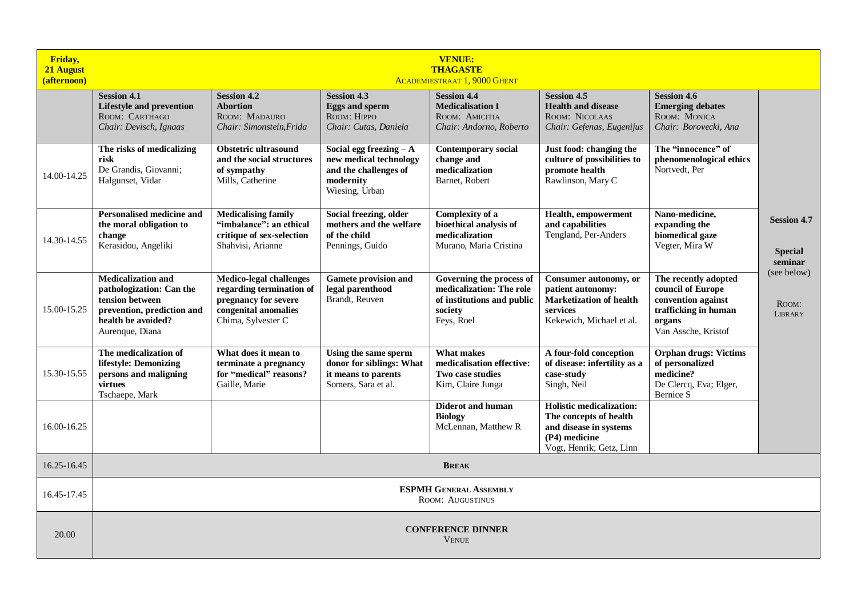| Friday,<br>21 August<br>(afternoon) | <b>VENUE:</b><br><b>THAGASTE</b><br><b>ACADEMIESTRAAT 1, 9000 GHENT</b>                                                                         |                                                                                                                                  |                                                                                                            |                                                                                                             |                                                                                                                                  |                                                                                                                          |                                                                |  |
|-------------------------------------|-------------------------------------------------------------------------------------------------------------------------------------------------|----------------------------------------------------------------------------------------------------------------------------------|------------------------------------------------------------------------------------------------------------|-------------------------------------------------------------------------------------------------------------|----------------------------------------------------------------------------------------------------------------------------------|--------------------------------------------------------------------------------------------------------------------------|----------------------------------------------------------------|--|
|                                     | <b>Session 4.1</b><br><b>Lifestyle and prevention</b><br>ROOM: CARTHAGO<br>Chair: Devisch, Ignaas                                               | <b>Session 4.2</b><br><b>Abortion</b><br>ROOM: MADAURO<br>Chair: Simonstein, Frida                                               | <b>Session 4.3</b><br><b>Eggs and sperm</b><br>ROOM: HIPPO<br>Chair: Cutas, Daniela                        | <b>Session 4.4</b><br><b>Medicalisation I</b><br>ROOM: AMICITIA<br>Chair: Andorno, Roberto                  | <b>Session 4.5</b><br><b>Health and disease</b><br>ROOM: NICOLAAS<br>Chair: Gefenas, Eugenijus                                   | <b>Session 4.6</b><br><b>Emerging debates</b><br>ROOM: MONICA<br>Chair: Borovecki, Ana                                   |                                                                |  |
| 14.00-14.25                         | The risks of medicalizing<br>risk<br>De Grandis, Giovanni;<br>Halgunset, Vidar                                                                  | Obstetric ultrasound<br>and the social structures<br>of sympathy<br>Mills, Catherine                                             | Social egg freezing $-A$<br>new medical technology<br>and the challenges of<br>modernity<br>Wiesing, Urban | <b>Contemporary social</b><br>change and<br>medicalization<br>Barnet, Robert                                | Just food: changing the<br>culture of possibilities to<br>promote health<br>Rawlinson, Mary C                                    | The "innocence" of<br>phenomenological ethics<br>Nortvedt, Per                                                           |                                                                |  |
| 14.30-14.55                         | <b>Personalised medicine and</b><br>the moral obligation to<br>change<br>Kerasidou, Angeliki                                                    | <b>Medicalising family</b><br>"imbalance": an ethical<br>critique of sex-selection<br>Shahvisi, Arianne                          | Social freezing, older<br>mothers and the welfare<br>of the child<br>Pennings, Guido                       | Complexity of a<br>bioethical analysis of<br>medicalization<br>Murano, Maria Cristina                       | Health, empowerment<br>and capabilities<br>Tengland, Per-Anders                                                                  | Nano-medicine.<br>expanding the<br>biomedical gaze<br>Vegter, Mira W                                                     | <b>Session 4.7</b><br><b>Special</b><br>seminar<br>(see below) |  |
| 15.00-15.25                         | <b>Medicalization and</b><br>pathologization: Can the<br>tension between<br>prevention, prediction and<br>health be avoided?<br>Aurenque, Diana | <b>Medico-legal challenges</b><br>regarding termination of<br>pregnancy for severe<br>congenital anomalies<br>Chima, Sylvester C | <b>Gamete provision and</b><br>legal parenthood<br>Brandt, Reuven                                          | Governing the process of<br>medicalization: The role<br>of institutions and public<br>society<br>Feys, Roel | Consumer autonomy, or<br>patient autonomy:<br><b>Marketization of health</b><br>services<br>Kekewich, Michael et al.             | The recently adopted<br>council of Europe<br>convention against<br>trafficking in human<br>organs<br>Van Assche, Kristof | ROOM:<br><b>LIBRARY</b>                                        |  |
| 15.30-15.55                         | The medicalization of<br>lifestyle: Demonizing<br>persons and maligning<br>virtues<br>Tschaepe, Mark                                            | What does it mean to<br>terminate a pregnancy<br>for "medical" reasons?<br>Gaille, Marie                                         | Using the same sperm<br>donor for siblings: What<br>it means to parents<br>Somers. Sara et al.             | <b>What makes</b><br>medicalisation effective:<br>Two case studies<br>Kim, Claire Junga                     | A four-fold conception<br>of disease: infertility as a<br>case-study<br>Singh, Neil                                              | <b>Orphan drugs: Victims</b><br>of personalized<br>medicine?<br>De Clercq, Eva; Elger,<br>Bernice S                      |                                                                |  |
| 16.00-16.25                         |                                                                                                                                                 |                                                                                                                                  |                                                                                                            | <b>Diderot and human</b><br><b>Biology</b><br>McLennan, Matthew R                                           | <b>Holistic medicalization:</b><br>The concepts of health<br>and disease in systems<br>(P4) medicine<br>Vogt, Henrik; Getz, Linn |                                                                                                                          |                                                                |  |
| 16.25-16.45                         | <b>BREAK</b>                                                                                                                                    |                                                                                                                                  |                                                                                                            |                                                                                                             |                                                                                                                                  |                                                                                                                          |                                                                |  |
| 16.45-17.45                         | <b>ESPMH GENERAL ASSEMBLY</b><br><b>ROOM: AUGUSTINUS</b>                                                                                        |                                                                                                                                  |                                                                                                            |                                                                                                             |                                                                                                                                  |                                                                                                                          |                                                                |  |
| 20.00                               | <b>CONFERENCE DINNER</b><br><b>VENUE</b>                                                                                                        |                                                                                                                                  |                                                                                                            |                                                                                                             |                                                                                                                                  |                                                                                                                          |                                                                |  |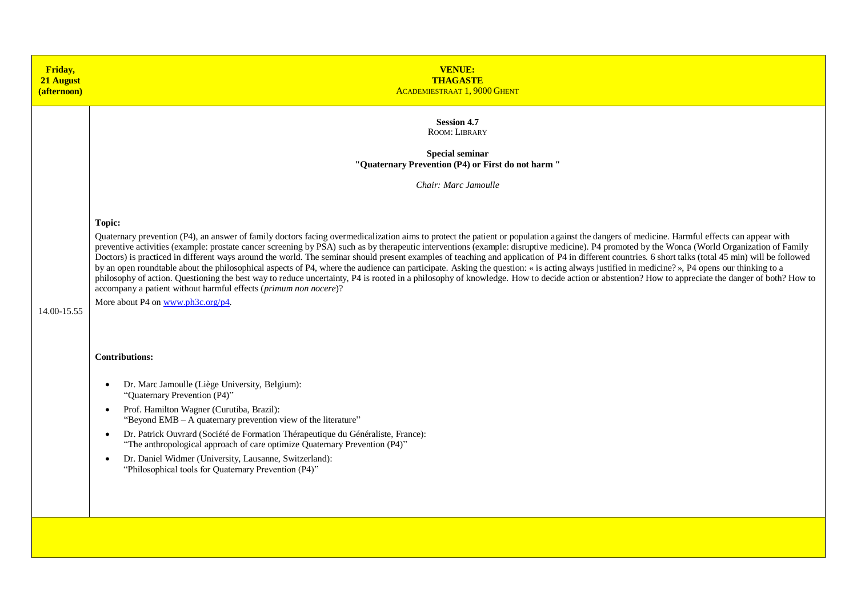| Friday,<br>21 August<br>(afternoon) | <b>VENUE:</b><br><b>THAGASTE</b><br><b>ACADEMIESTRAAT 1, 9000 GHENT</b>                                                                                                                                                                                                                                                                                                                                                                                                                                                                                                                                                                                                                                                                                                                                                                                                                                                                                                                                                                                                                                                                |
|-------------------------------------|----------------------------------------------------------------------------------------------------------------------------------------------------------------------------------------------------------------------------------------------------------------------------------------------------------------------------------------------------------------------------------------------------------------------------------------------------------------------------------------------------------------------------------------------------------------------------------------------------------------------------------------------------------------------------------------------------------------------------------------------------------------------------------------------------------------------------------------------------------------------------------------------------------------------------------------------------------------------------------------------------------------------------------------------------------------------------------------------------------------------------------------|
|                                     | <b>Session 4.7</b><br>ROOM: LIBRARY<br><b>Special seminar</b><br>"Quaternary Prevention (P4) or First do not harm"<br>Chair: Marc Jamoulle                                                                                                                                                                                                                                                                                                                                                                                                                                                                                                                                                                                                                                                                                                                                                                                                                                                                                                                                                                                             |
| 14.00-15.55                         | <b>Topic:</b><br>Quaternary prevention (P4), an answer of family doctors facing overmedicalization aims to protect the patient or population against the dangers of medicine. Harmful effects can appear with<br>preventive activities (example: prostate cancer screening by PSA) such as by therapeutic interventions (example: disruptive medicine). P4 promoted by the Wonca (World Organization of Family<br>Doctors) is practiced in different ways around the world. The seminar should present examples of teaching and application of P4 in different countries. 6 short talks (total 45 min) will be followed<br>by an open roundtable about the philosophical aspects of P4, where the audience can participate. Asking the question: « is acting always justified in medicine? », P4 opens our thinking to a<br>philosophy of action. Questioning the best way to reduce uncertainty, P4 is rooted in a philosophy of knowledge. How to decide action or abstention? How to appreciate the danger of both? How to<br>accompany a patient without harmful effects (primum non nocere)?<br>More about P4 on www.ph3c.org/p4. |
|                                     | <b>Contributions:</b><br>Dr. Marc Jamoulle (Liège University, Belgium):<br>$\bullet$<br>"Quaternary Prevention (P4)"<br>Prof. Hamilton Wagner (Curutiba, Brazil):<br>$\bullet$<br>"Beyond EMB - A quaternary prevention view of the literature"<br>Dr. Patrick Ouvrard (Société de Formation Thérapeutique du Généraliste, France):<br>$\bullet$<br>"The anthropological approach of care optimize Quaternary Prevention (P4)"<br>Dr. Daniel Widmer (University, Lausanne, Switzerland):<br>$\bullet$<br>"Philosophical tools for Quaternary Prevention (P4)"                                                                                                                                                                                                                                                                                                                                                                                                                                                                                                                                                                          |
|                                     |                                                                                                                                                                                                                                                                                                                                                                                                                                                                                                                                                                                                                                                                                                                                                                                                                                                                                                                                                                                                                                                                                                                                        |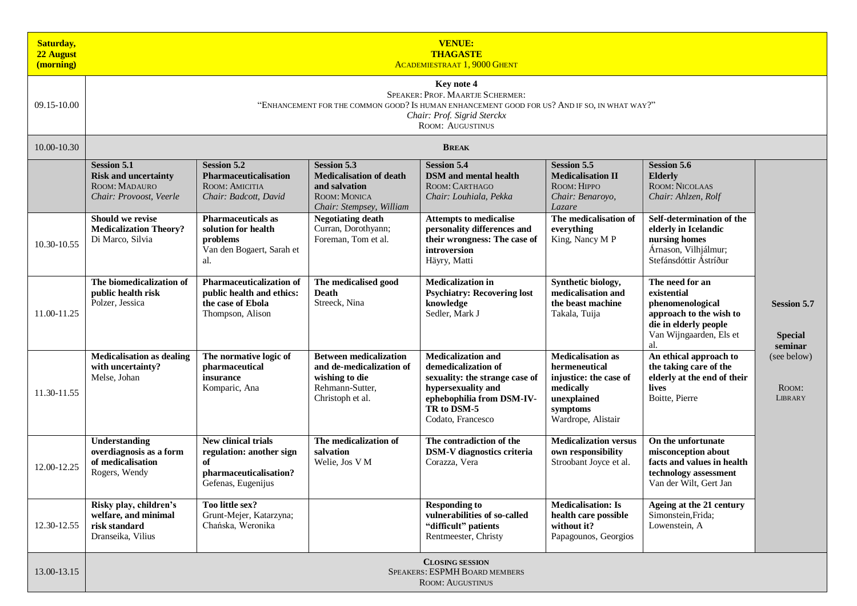| <b>Saturday,</b><br>22 August<br>(morning) | <b>VENUE:</b><br><b>THAGASTE</b><br><b>ACADEMIESTRAAT 1, 9000 GHENT</b>                                                                                                                                  |                                                                                                       |                                                                                                                          |                                                                                                                                                                           |                                                                                                                                   |                                                                                                                                          |                                                 |  |  |
|--------------------------------------------|----------------------------------------------------------------------------------------------------------------------------------------------------------------------------------------------------------|-------------------------------------------------------------------------------------------------------|--------------------------------------------------------------------------------------------------------------------------|---------------------------------------------------------------------------------------------------------------------------------------------------------------------------|-----------------------------------------------------------------------------------------------------------------------------------|------------------------------------------------------------------------------------------------------------------------------------------|-------------------------------------------------|--|--|
| 09.15-10.00                                | Key note 4<br>SPEAKER: PROF. MAARTJE SCHERMER:<br>"ENHANCEMENT FOR THE COMMON GOOD? IS HUMAN ENHANCEMENT GOOD FOR US? AND IF SO, IN WHAT WAY?"<br>Chair: Prof. Sigrid Sterckx<br><b>ROOM: AUGUSTINUS</b> |                                                                                                       |                                                                                                                          |                                                                                                                                                                           |                                                                                                                                   |                                                                                                                                          |                                                 |  |  |
| 10.00-10.30                                |                                                                                                                                                                                                          |                                                                                                       |                                                                                                                          | <b>BREAK</b>                                                                                                                                                              |                                                                                                                                   |                                                                                                                                          |                                                 |  |  |
|                                            | <b>Session 5.1</b><br><b>Risk and uncertainty</b><br>ROOM: MADAURO<br>Chair: Provoost, Veerle                                                                                                            | <b>Session 5.2</b><br>Pharmaceuticalisation<br>ROOM: AMICITIA<br>Chair: Badcott, David                | <b>Session 5.3</b><br><b>Medicalisation of death</b><br>and salvation<br><b>ROOM: MONICA</b><br>Chair: Stempsey, William | <b>Session 5.4</b><br><b>DSM</b> and mental health<br>ROOM: CARTHAGO<br>Chair: Louhiala, Pekka                                                                            | <b>Session 5.5</b><br><b>Medicalisation II</b><br>ROOM: HIPPO<br>Chair: Benaroyo,<br>Lazare                                       | <b>Session 5.6</b><br><b>Elderly</b><br>ROOM: NICOLAAS<br>Chair: Ahlzen, Rolf                                                            |                                                 |  |  |
| 10.30-10.55                                | Should we revise<br><b>Medicalization Theory?</b><br>Di Marco, Silvia                                                                                                                                    | <b>Pharmaceuticals as</b><br>solution for health<br>problems<br>Van den Bogaert, Sarah et<br>al.      | <b>Negotiating death</b><br>Curran, Dorothyann;<br>Foreman, Tom et al.                                                   | <b>Attempts to medicalise</b><br>personality differences and<br>their wrongness: The case of<br>introversion<br>Häyry, Matti                                              | The medicalisation of<br>everything<br>King, Nancy M P                                                                            | Self-determination of the<br>elderly in Icelandic<br>nursing homes<br>Árnason, Vilhjálmur;<br>Stefánsdóttir Ástríður                     |                                                 |  |  |
| 11.00-11.25                                | The biomedicalization of<br>public health risk<br>Polzer, Jessica                                                                                                                                        | <b>Pharmaceuticalization of</b><br>public health and ethics:<br>the case of Ebola<br>Thompson, Alison | The medicalised good<br><b>Death</b><br>Streeck, Nina                                                                    | <b>Medicalization in</b><br><b>Psychiatry: Recovering lost</b><br>knowledge<br>Sedler, Mark J                                                                             | Synthetic biology,<br>medicalisation and<br>the beast machine<br>Takala, Tuija                                                    | The need for an<br>existential<br>phenomenological<br>approach to the wish to<br>die in elderly people<br>Van Wijngaarden, Els et<br>al. | <b>Session 5.7</b><br><b>Special</b><br>seminar |  |  |
| 11.30-11.55                                | <b>Medicalisation as dealing</b><br>with uncertainty?<br>Melse, Johan                                                                                                                                    | The normative logic of<br>pharmaceutical<br>insurance<br>Komparic, Ana                                | <b>Between medicalization</b><br>and de-medicalization of<br>wishing to die<br>Rehmann-Sutter,<br>Christoph et al.       | <b>Medicalization and</b><br>demedicalization of<br>sexuality: the strange case of<br>hypersexuality and<br>ephebophilia from DSM-IV-<br>TR to DSM-5<br>Codato, Francesco | <b>Medicalisation as</b><br>hermeneutical<br>injustice: the case of<br>medically<br>unexplained<br>symptoms<br>Wardrope, Alistair | An ethical approach to<br>the taking care of the<br>elderly at the end of their<br>lives<br>Boitte, Pierre                               | (see below)<br>ROOM:<br>LIBRARY                 |  |  |
| 12.00-12.25                                | Understanding<br>overdiagnosis as a form<br>of medicalisation<br>Rogers, Wendy                                                                                                                           | New clinical trials<br>regulation: another sign<br>of<br>pharmaceuticalisation?<br>Gefenas, Eugenijus | The medicalization of<br>salvation<br>Welie, Jos V M                                                                     | The contradiction of the<br><b>DSM-V</b> diagnostics criteria<br>Corazza, Vera                                                                                            | <b>Medicalization versus</b><br>own responsibility<br>Stroobant Joyce et al.                                                      | On the unfortunate<br>misconception about<br>facts and values in health<br>technology assessment<br>Van der Wilt, Gert Jan               |                                                 |  |  |
| 12.30-12.55                                | Risky play, children's<br>welfare, and minimal<br>risk standard<br>Dranseika, Vilius                                                                                                                     | Too little sex?<br>Grunt-Mejer, Katarzyna;<br>Chańska, Weronika                                       |                                                                                                                          | <b>Responding to</b><br>vulnerabilities of so-called<br>"difficult" patients<br>Rentmeester, Christy                                                                      | <b>Medicalisation: Is</b><br>health care possible<br>without it?<br>Papagounos, Georgios                                          | Ageing at the 21 century<br>Simonstein, Frida;<br>Lowenstein, A                                                                          |                                                 |  |  |
| 13.00-13.15                                | <b>CLOSING SESSION</b><br>SPEAKERS: ESPMH BOARD MEMBERS<br><b>ROOM: AUGUSTINUS</b>                                                                                                                       |                                                                                                       |                                                                                                                          |                                                                                                                                                                           |                                                                                                                                   |                                                                                                                                          |                                                 |  |  |